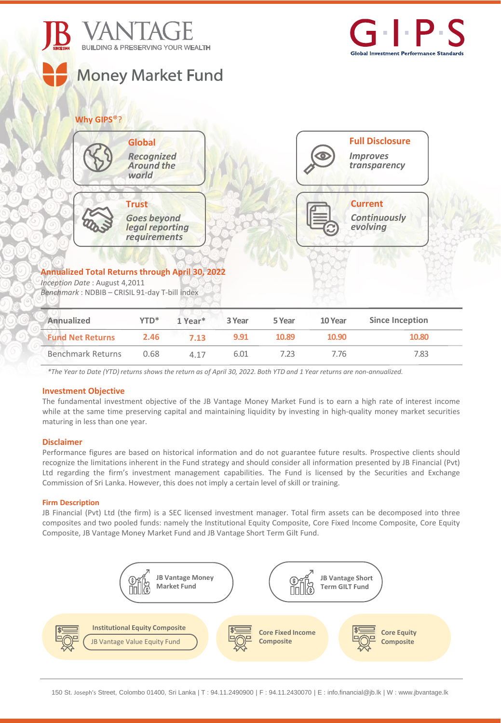



# **Why GIPS**®?



# **Annualized Total Returns through April 30, 2022**

*Inception Date* : August 4,2011 *Benchmark* : NDBIB – CRISIL 91-day T-bill index

| Annualized<br><b>Fund Net Returns</b> | $YTD^*$<br>2.46 | $1$ Year <sup>*</sup><br>7.13 | 3 Year<br>9.91 | 5 Year<br>10.89 | 10 Year<br>10.90 | Since Inception<br>10.80 |
|---------------------------------------|-----------------|-------------------------------|----------------|-----------------|------------------|--------------------------|
|                                       |                 |                               |                |                 |                  |                          |

\*The Year to Date (YTD) returns shows the return as of April 30, 2022. Both YTD and 1 Year returns are non-annualized.

## **Investment Objective**

The fundamental investment objective of the JB Vantage Money Market Fund is to earn a high rate of interest income while at the same time preserving capital and maintaining liquidity by investing in high-quality money market securities maturing in less than one year.

## **Disclaimer**

Performance figures are based on historical information and do not guarantee future results. Prospective clients should recognize the limitations inherent in the Fund strategy and should consider all information presented by JB Financial (Pvt) Ltd regarding the firm's investment management capabilities. The Fund is licensed by the Securities and Exchange Commission of Sri Lanka. However, this does not imply a certain level of skill or training.

## **Firm Description**

JB Financial (Pvt) Ltd (the firm) is a SEC licensed investment manager. Total firm assets can be decomposed into three composites and two pooled funds: namely the Institutional Equity Composite, Core Fixed Income Composite, Core Equity Composite, JB Vantage Money Market Fund and JB Vantage Short Term Gilt Fund.